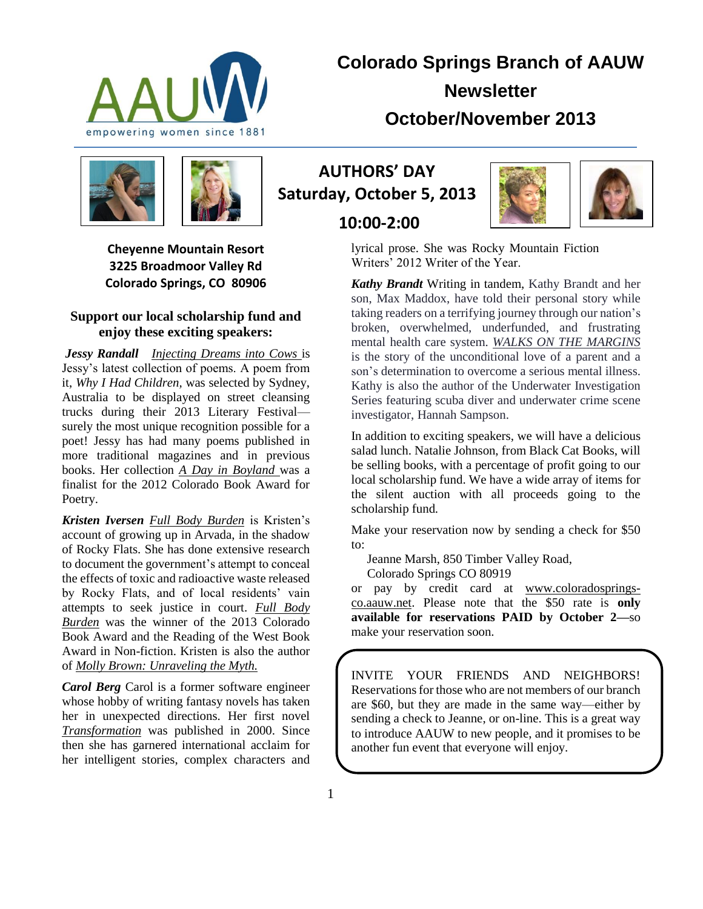

**Colorado Springs Branch of AAUW Newsletter October/November 2013**



**Cheyenne Mountain Resort 3225 Broadmoor Valley Rd Colorado Springs, CO 80906**

#### **Support our local scholarship fund and enjoy these exciting speakers:**

*Jessy Randall Injecting Dreams into Cows* is Jessy's latest collection of poems. A poem from it, *Why I Had Children,* was selected by Sydney, Australia to be displayed on street cleansing trucks during their 2013 Literary Festival surely the most unique recognition possible for a poet! Jessy has had many poems published in more traditional magazines and in previous books. Her collection *A Day in Boyland* was a finalist for the 2012 Colorado Book Award for Poetry.

*Kristen Iversen Full Body Burden* is Kristen's account of growing up in Arvada, in the shadow of Rocky Flats. She has done extensive research to document the government's attempt to conceal the effects of toxic and radioactive waste released by Rocky Flats, and of local residents' vain attempts to seek justice in court. *Full Body Burden* was the winner of the 2013 Colorado Book Award and the Reading of the West Book Award in Non-fiction. Kristen is also the author of *Molly Brown: Unraveling the Myth.*

*Carol Berg* Carol is a former software engineer whose hobby of writing fantasy novels has taken her in unexpected directions. Her first novel *Transformation* was published in 2000. Since then she has garnered international acclaim for her intelligent stories, complex characters and

**AUTHORS' DAY Saturday, October 5, 2013** 

**10:00-2:00**



lyrical prose. She was Rocky Mountain Fiction Writers' 2012 Writer of the Year.

*Kathy Brandt* Writing in tandem, Kathy Brandt and her son, Max Maddox, have told their personal story while taking readers on a terrifying journey through our nation's broken, overwhelmed, underfunded, and frustrating mental health care system. *WALKS ON THE MARGINS* is the story of the unconditional love of a parent and a son's determination to overcome a serious mental illness. Kathy is also the author of the Underwater Investigation Series featuring scuba diver and underwater crime scene investigator, Hannah Sampson.

In addition to exciting speakers, we will have a delicious salad lunch. Natalie Johnson, from Black Cat Books, will be selling books, with a percentage of profit going to our local scholarship fund. We have a wide array of items for the silent auction with all proceeds going to the scholarship fund.

Make your reservation now by sending a check for \$50 to:

Jeanne Marsh, 850 Timber Valley Road,

Colorado Springs CO 80919

or pay by credit card at [www.coloradosprings](http://www.coloradosprings-co.aauw.net/)[co.aauw.net.](http://www.coloradosprings-co.aauw.net/) Please note that the \$50 rate is **only available for reservations PAID by October 2—**so make your reservation soon.

INVITE YOUR FRIENDS AND NEIGHBORS! Reservations for those who are not members of our branch are \$60, but they are made in the same way—either by sending a check to Jeanne, or on-line. This is a great way to introduce AAUW to new people, and it promises to be another fun event that everyone will enjoy.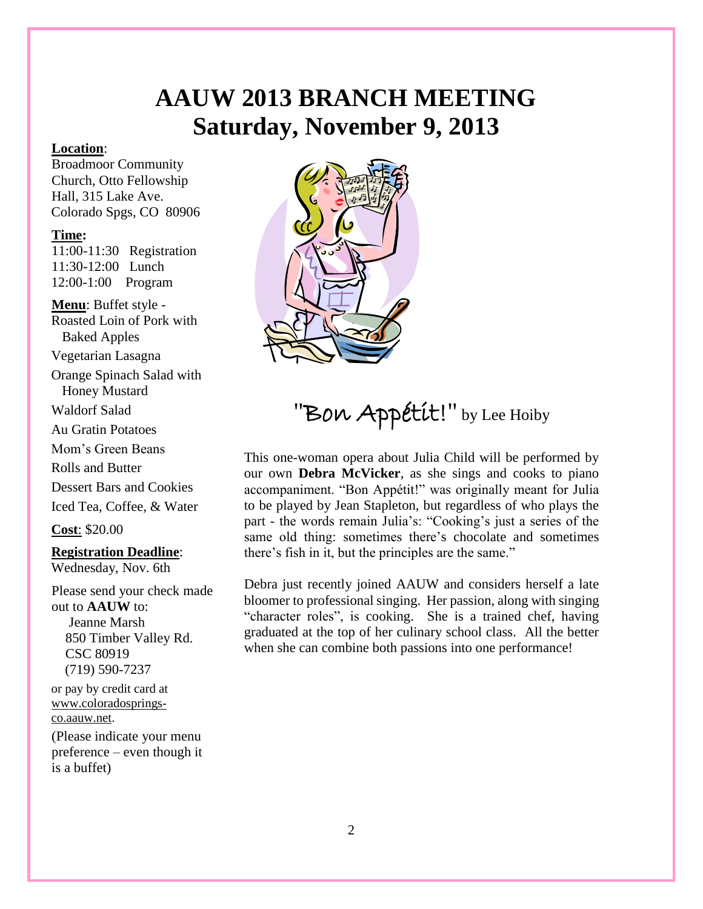# **AAUW 2013 BRANCH MEETING Saturday, November 9, 2013**

#### **Location**:

Broadmoor Community Church, Otto Fellowship Hall, 315 Lake Ave. Colorado Spgs, CO 80906

#### **Time:**

11:00-11:30 Registration 11:30-12:00 Lunch 12:00-1:00 Program

**Menu**: Buffet style - Roasted Loin of Pork with Baked Apples

Vegetarian Lasagna

Orange Spinach Salad with Honey Mustard

Waldorf Salad

Au Gratin Potatoes

Mom's Green Beans

Rolls and Butter

Dessert Bars and Cookies

Iced Tea, Coffee, & Water

**Cost**: \$20.00

#### **Registration Deadline**:

Wednesday, Nov. 6th

Please send your check made out to **AAUW** to: Jeanne Marsh 850 Timber Valley Rd. CSC 80919 (719) 590-7237

or pay by credit card at [www.coloradosprings](http://www.coloradosprings-co.aauw.net/)[co.aauw.net.](http://www.coloradosprings-co.aauw.net/) (Please indicate your menu preference – even though it is a buffet)



## "Bon Appétit!" by Lee Hoiby

This one-woman opera about Julia Child will be performed by our own **Debra McVicker**, as she sings and cooks to piano accompaniment. "Bon Appétit!" was originally meant for Julia to be played by Jean Stapleton, but regardless of who plays the part - the words remain Julia's: "Cooking's just a series of the same old thing: sometimes there's chocolate and sometimes there's fish in it, but the principles are the same."

Debra just recently joined AAUW and considers herself a late bloomer to professional singing. Her passion, along with singing "character roles", is cooking. She is a trained chef, having graduated at the top of her culinary school class. All the better when she can combine both passions into one performance!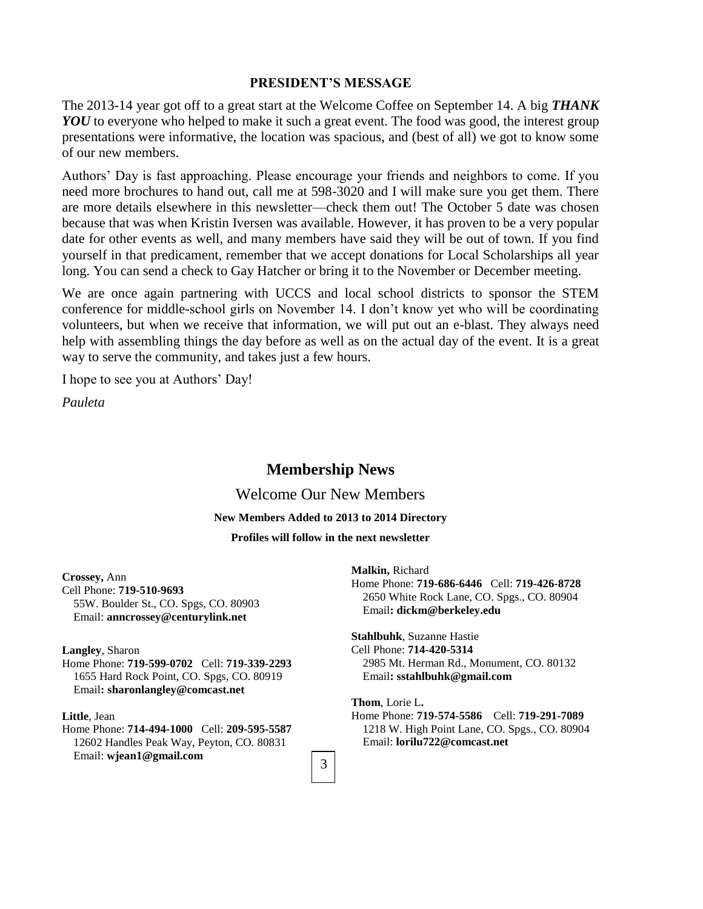#### **PRESIDENT'S MESSAGE**

The 2013-14 year got off to a great start at the Welcome Coffee on September 14. A big *THANK YOU* to everyone who helped to make it such a great event. The food was good, the interest group presentations were informative, the location was spacious, and (best of all) we got to know some of our new members.

Authors' Day is fast approaching. Please encourage your friends and neighbors to come. If you need more brochures to hand out, call me at 598-3020 and I will make sure you get them. There are more details elsewhere in this newsletter—check them out! The October 5 date was chosen because that was when Kristin Iversen was available. However, it has proven to be a very popular date for other events as well, and many members have said they will be out of town. If you find yourself in that predicament, remember that we accept donations for Local Scholarships all year long. You can send a check to Gay Hatcher or bring it to the November or December meeting.

We are once again partnering with UCCS and local school districts to sponsor the STEM conference for middle-school girls on November 14. I don't know yet who will be coordinating volunteers, but when we receive that information, we will put out an e-blast. They always need help with assembling things the day before as well as on the actual day of the event. It is a great way to serve the community, and takes just a few hours.

I hope to see you at Authors' Day!

*Pauleta*

#### **Membership News**

#### Welcome Our New Members

#### **New Members Added to 2013 to 2014 Directory**

#### **Profiles will follow in the next newsletter**

**Crossey,** Ann Cell Phone: **719-510-9693** 55W. Boulder St., CO. Spgs, CO. 80903 Email: **[anncrossey@centurylink.net](mailto:anncrossey@centurylink.net)**

#### **Langley**, Sharon

Home Phone: **719-599-0702** Cell: **719-339-2293** 1655 Hard Rock Point, CO. Spgs, CO. 80919 Email**[: sharonlangley@comcast.net](mailto:sharonlangley@comcast.net)**

#### **Little**, Jean

Home Phone: **714-494-1000** Cell: **209-595-5587** 12602 Handles Peak Way, Peyton, CO. 80831 Email: **[wjean1@gmail.com](mailto:wjean1@gmail.com)**

**Malkin,** Richard Home Phone: **719-686-6446** Cell: **719-426-8728** 2650 White Rock Lane, CO. Spgs., CO. 80904 Email**[: dickm@berkeley.edu](mailto:dickm@berkeley.edu)**

**Stahlbuhk**, Suzanne Hastie Cell Phone: **714-420-5314** 2985 Mt. Herman Rd., Monument, CO. 80132 Email**[: sstahlbuhk@gmail.com](mailto:sstahlbuhk@gmail.com)**

**Thom**, Lorie L**.**

Home Phone: **719-574-5586** Cell: **719-291-7089** 1218 W. High Point Lane, CO. Spgs., CO. 80904 Email: **[lorilu722@comcast.net](mailto:lorilu722@comcast.net)**

3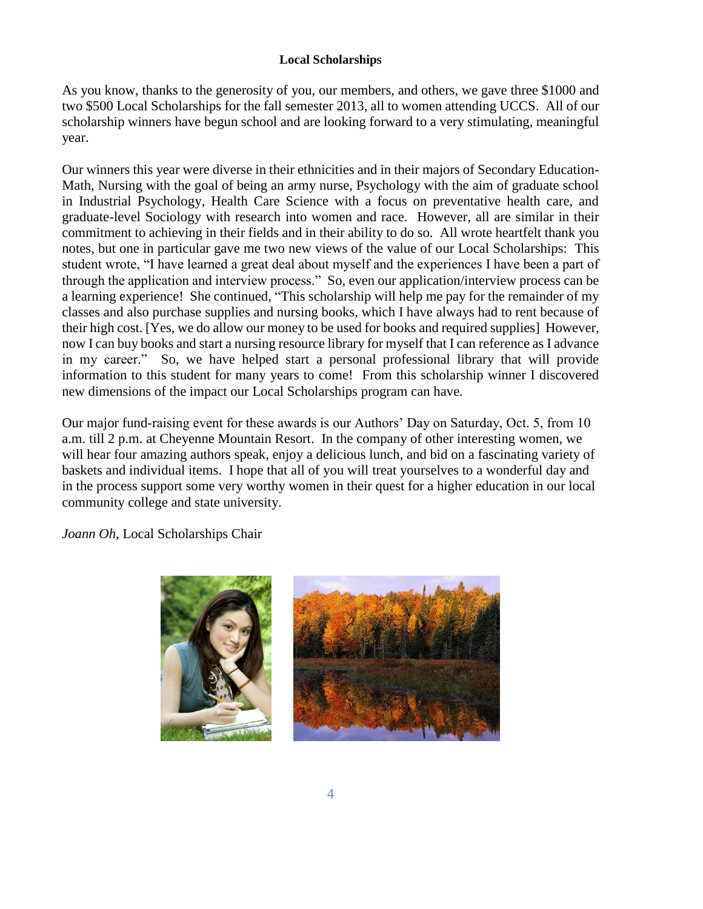#### **Local Scholarships**

As you know, thanks to the generosity of you, our members, and others, we gave three \$1000 and two \$500 Local Scholarships for the fall semester 2013, all to women attending UCCS. All of our scholarship winners have begun school and are looking forward to a very stimulating, meaningful year.

Our winners this year were diverse in their ethnicities and in their majors of Secondary Education-Math, Nursing with the goal of being an army nurse, Psychology with the aim of graduate school in Industrial Psychology, Health Care Science with a focus on preventative health care, and graduate-level Sociology with research into women and race. However, all are similar in their commitment to achieving in their fields and in their ability to do so. All wrote heartfelt thank you notes, but one in particular gave me two new views of the value of our Local Scholarships: This student wrote, "I have learned a great deal about myself and the experiences I have been a part of through the application and interview process." So, even our application/interview process can be a learning experience! She continued, "This scholarship will help me pay for the remainder of my classes and also purchase supplies and nursing books, which I have always had to rent because of their high cost. [Yes, we do allow our money to be used for books and required supplies] However, now I can buy books and start a nursing resource library for myself that I can reference as I advance in my career." So, we have helped start a personal professional library that will provide information to this student for many years to come! From this scholarship winner I discovered new dimensions of the impact our Local Scholarships program can have.

Our major fund-raising event for these awards is our Authors' Day on Saturday, Oct. 5, from 10 a.m. till 2 p.m. at Cheyenne Mountain Resort. In the company of other interesting women, we will hear four amazing authors speak, enjoy a delicious lunch, and bid on a fascinating variety of baskets and individual items. I hope that all of you will treat yourselves to a wonderful day and in the process support some very worthy women in their quest for a higher education in our local community college and state university.

*Joann Oh*, Local Scholarships Chair



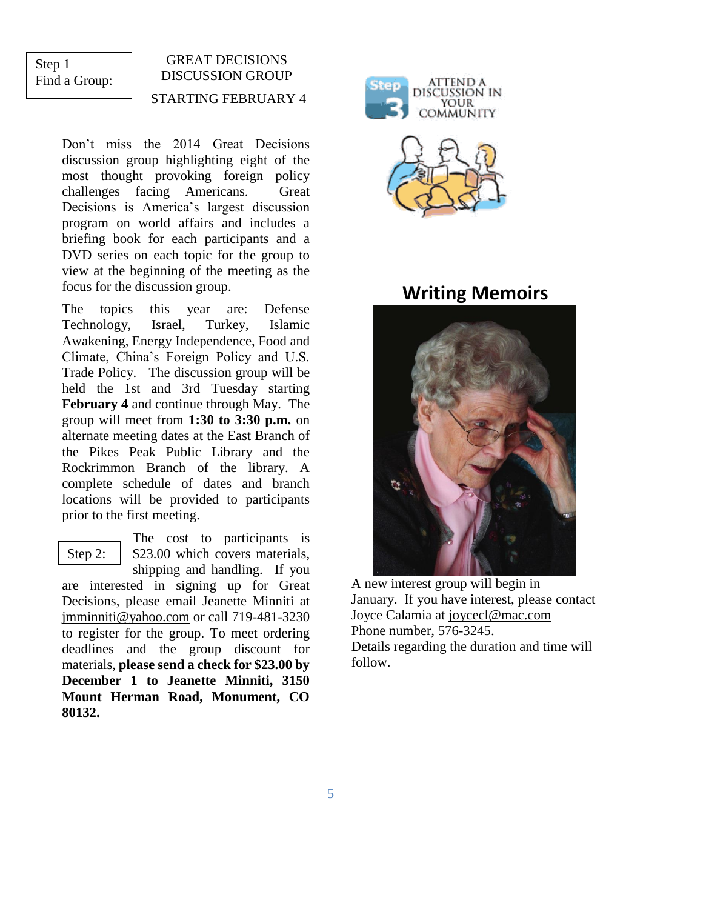### Step 1 Find a Group:

## GREAT DECISIONS DISCUSSION GROUP STARTING FEBRUARY 4

Don't miss the 2014 Great Decisions discussion group highlighting eight of the most thought provoking foreign policy challenges facing Americans. Great Decisions is America's largest discussion program on world affairs and includes a briefing book for each participants and a DVD series on each topic for the group to view at the beginning of the meeting as the focus for the discussion group.

The topics this year are: Defense Technology, Israel, Turkey, Islamic Awakening, Energy Independence, Food and Climate, China's Foreign Policy and U.S. Trade Policy. The discussion group will be held the 1st and 3rd Tuesday starting **February 4** and continue through May. The group will meet from **1:30 to 3:30 p.m.** on alternate meeting dates at the East Branch of the Pikes Peak Public Library and the Rockrimmon Branch of the library. A complete schedule of dates and branch locations will be provided to participants prior to the first meeting.

Step 2:

The cost to participants is \$23.00 which covers materials, shipping and handling. If you

are interested in signing up for Great Decisions, please email Jeanette Minniti at [jmminniti@yahoo.com](mailto:jmminniti@yahoo.com) or call 719-481-3230 to register for the group. To meet ordering deadlines and the group discount for materials, **please send a check for \$23.00 by December 1 to Jeanette Minniti, 3150 Mount Herman Road, Monument, CO 80132.**



## **Writing Memoirs**



A new interest group will begin in January. If you have interest, please contact Joyce Calamia at [joycecl@mac.com](mailto:joycecl@mac.com) Phone number, 576-3245. Details regarding the duration and time will follow.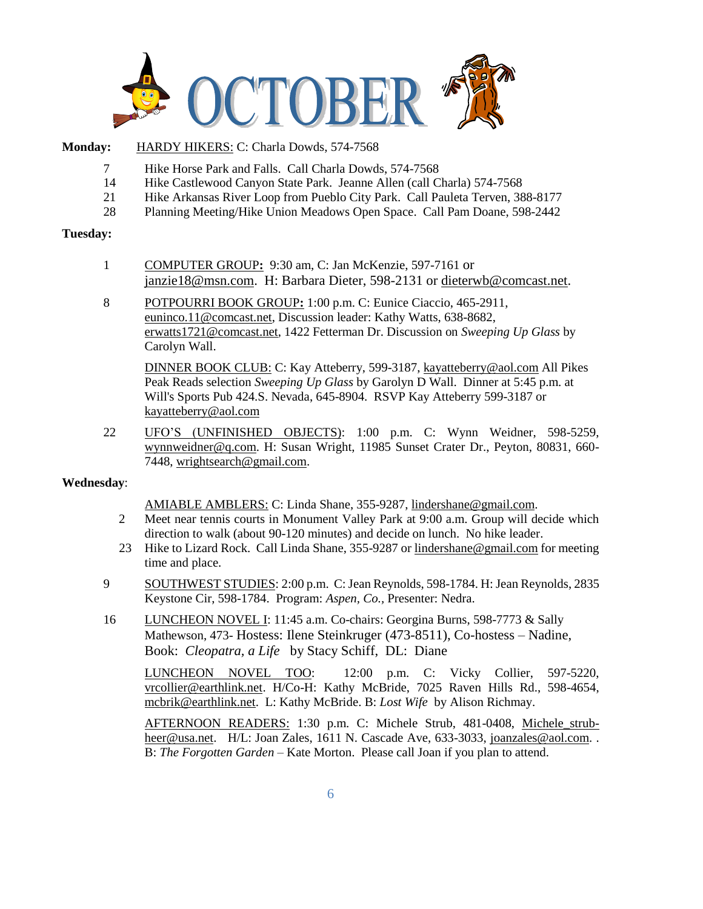

#### **Monday:** HARDY HIKERS: C: Charla Dowds, 574-7568

- 7 Hike Horse Park and Falls. Call Charla Dowds, 574-7568
- 14 Hike Castlewood Canyon State Park. Jeanne Allen (call Charla) 574-7568
- 21 Hike Arkansas River Loop from Pueblo City Park. Call Pauleta Terven, 388-8177
- 28 Planning Meeting/Hike Union Meadows Open Space. Call Pam Doane, 598-2442

#### **Tuesday:**

- 1 COMPUTER GROUP**:** 9:30 am, C: Jan McKenzie, 597-7161 or [janzie18@msn.com.](mailto:janzie18@msn.com) H: Barbara Dieter, 598-2131 or [dieterwb@comcast.net.](mailto:dieterwb@comcast.net)
- 8 POTPOURRI BOOK GROUP**:** 1:00 p.m. C: Eunice Ciaccio, 465-2911, [euninco.11@comcast.net,](mailto:euninco.11@comcast.net) Discussion leader: Kathy Watts, 638-8682, [erwatts1721@comcast.net,](mailto:erwatts1721@comcast.net) 1422 Fetterman Dr. Discussion on *Sweeping Up Glass* by Carolyn Wall.

DINNER BOOK CLUB: C: Kay Atteberry, 599-3187, [kayatteberry@aol.co](mailto:kayatteberry@aol.c)m All Pikes Peak Reads selection *Sweeping Up Glass* by Garolyn D Wall. Dinner at 5:45 p.m. at Will's Sports Pub 424.S. Nevada, 645-8904. RSVP Kay Atteberry 599-3187 or [kayatteberry@aol.com](mailto:kayatteberry@aol.com)

22 UFO'S (UNFINISHED OBJECTS): 1:00 p.m. C: Wynn Weidner, 598-5259, [wynnweidner@q.com.](mailto:wynnweidner@q.com) H: Susan Wright, 11985 Sunset Crater Dr., Peyton, 80831, 660- 7448, [wrightsearch@gmail.com.](mailto:wrightsearch@gmail.com)

#### **Wednesday**:

AMIABLE AMBLERS: C: Linda Shane, 355-9287, lindershane@gmail.com.

- 2 Meet near tennis courts in Monument Valley Park at 9:00 a.m. Group will decide which direction to walk (about 90-120 minutes) and decide on lunch. No hike leader.
- 23 Hike to Lizard Rock. Call Linda Shane, 355-9287 or [lindershane@gmail.com](mailto:lindershane@gmail.com) for meeting time and place.
- 9 SOUTHWEST STUDIES: 2:00 p.m. C: Jean Reynolds, 598-1784. H: Jean Reynolds, 2835 Keystone Cir, 598-1784. Program: *Aspen, Co.,* Presenter: Nedra.
- 16 LUNCHEON NOVEL I: 11:45 a.m. Co-chairs: Georgina Burns, 598-7773 & Sally Mathewson, 473- Hostess: Ilene Steinkruger (473-8511), Co-hostess – Nadine, Book: *Cleopatra, a Life* by Stacy Schiff, DL: Diane

LUNCHEON NOVEL TOO: 12:00 p.m. C: Vicky Collier, 597-5220, [vrcollier@earthlink.net.](mailto:vrcollier@earthlink.net) H/Co-H: Kathy McBride, 7025 Raven Hills Rd., 598-4654, [mcbrik@earthlink.net.](mailto:mcbrik@earthlink.net) L: Kathy McBride. B: *Lost Wife* by Alison Richmay.

AFTERNOON READERS: 1:30 p.m. C: Michele Strub, 481-0408, [Michele\\_strub](mailto:Michele_strub-heer@usa.net)[heer@usa.net.](mailto:Michele_strub-heer@usa.net) H/L: Joan Zales, 1611 N. Cascade Ave, 633-3033, [joanzales@aol.com.](mailto:joanzales@aol.com). B: *The Forgotten Garden* – Kate Morton. Please call Joan if you plan to attend.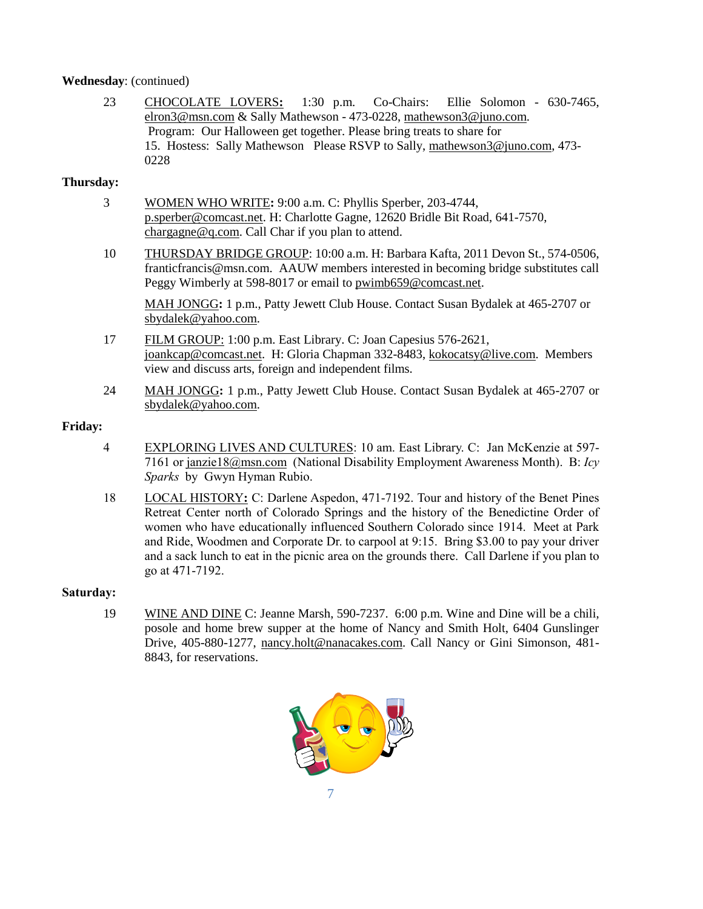#### **Wednesday**: (continued)

23 CHOCOLATE LOVERS**:** 1:30 p.m. Co-Chairs: Ellie Solomon - 630-7465, [elron3@msn.com](mailto:elron3@msn.com) & Sally Mathewson - 473-0228, [mathewson3@juno.com.](mailto:mathewson3@juno.com) Program: Our Halloween get together. Please bring treats to share for 15. Hostess: Sally Mathewson Please RSVP to Sally, [mathewson3@juno.com,](mailto:mathewson3@juno.com) 473- 0228

#### **Thursday:**

- 3 WOMEN WHO WRITE**:** 9:00 a.m. C: Phyllis Sperber, 203-4744, [p.sperber@comcast.net.](mailto:p.sperber@comcast.net) H: Charlotte Gagne, 12620 Bridle Bit Road, 641-7570, [chargagne@q.com.](mailto:chargagne@q.com) Call Char if you plan to attend.
- 10 THURSDAY BRIDGE GROUP: 10:00 a.m. H: Barbara Kafta, 2011 Devon St., 574-0506, franticfrancis@msn.com. AAUW members interested in becoming bridge substitutes call Peggy Wimberly at 598-8017 or email to [pwimb659@comcast.net.](mailto:pwimb659@comcast.net)

MAH JONGG**:** 1 p.m., Patty Jewett Club House. Contact Susan Bydalek at 465-2707 or [sbydalek@yahoo.com.](mailto:sbydalek@yahoo.com)

- 17 FILM GROUP: 1:00 p.m. East Library. C: Joan Capesius 576-2621, [joankcap@comcast.net.](mailto:joankcap@comcast.net) H: Gloria Chapman 332-8483, [kokocatsy@live.com.](mailto:kokocatsy@live.com) Members view and discuss arts, foreign and independent films.
- 24 MAH JONGG**:** 1 p.m., Patty Jewett Club House. Contact Susan Bydalek at 465-2707 or [sbydalek@yahoo.com.](mailto:sbydalek@yahoo.com)

#### **Friday:**

- 4 EXPLORING LIVES AND CULTURES: 10 am. East Library. C: Jan McKenzie at 597- 7161 or [janzie18@msn.com](mailto:janzie18@msn.com) (National Disability Employment Awareness Month). B: *Icy Sparks* by Gwyn Hyman Rubio.
- 18 LOCAL HISTORY**:** C: Darlene Aspedon, 471-7192. Tour and history of the Benet Pines Retreat Center north of Colorado Springs and the history of the Benedictine Order of women who have educationally influenced Southern Colorado since 1914. Meet at Park and Ride, Woodmen and Corporate Dr. to carpool at 9:15. Bring \$3.00 to pay your driver and a sack lunch to eat in the picnic area on the grounds there. Call Darlene if you plan to go at 471-7192.

#### **Saturday:**

19 WINE AND DINE C: Jeanne Marsh, 590-7237. 6:00 p.m. Wine and Dine will be a chili, posole and home brew supper at the home of Nancy and Smith Holt, 6404 Gunslinger Drive, 405-880-1277, [nancy.holt@nanacakes.com.](mailto:nancy.holt@nanacakes.com) Call Nancy or Gini Simonson, 481- 8843, for reservations.

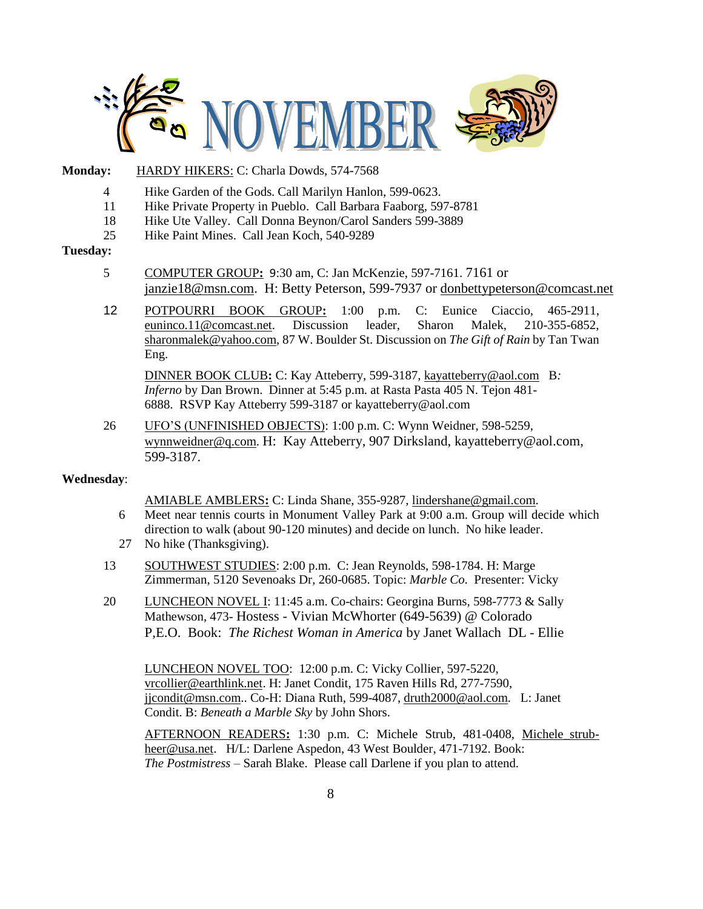

#### Monday: HARDY HIKERS: C: Charla Dowds, 574-7568

- 4 Hike Garden of the Gods. Call Marilyn Hanlon, 599-0623.
- 11 Hike Private Property in Pueblo. Call Barbara Faaborg, 597-8781
- 18 Hike Ute Valley. Call Donna Beynon/Carol Sanders 599-3889
- 25 Hike Paint Mines. Call Jean Koch, 540-9289

#### **Tuesday:**

- 5 COMPUTER GROUP**:** 9:30 am, C: Jan McKenzie, 597-7161. 7161 or [janzie18@msn.com.](mailto:janzie18@msn.com) H: Betty Peterson, 599-7937 or [donbettypeterson@comcast.net](mailto:donbettypeterson@comcast.net)
- 12 POTPOURRI BOOK GROUP**:** 1:00 p.m. C: Eunice Ciaccio, 465-2911, euninco.11@comcast.net. Discussion leader, Sharon Malek, 210-355-6852, [sharonmalek@yahoo.com,](mailto:sharonmalek@yahoo.com) 87 W. Boulder St. Discussion on *The Gift of Rain* by Tan Twan Eng.

DINNER BOOK CLUB**:** C: Kay Atteberry, 599-3187, kayatteberry@aol.com B*: Inferno* by Dan Brown. Dinner at 5:45 p.m. at Rasta Pasta 405 N. Tejon 481- 6888. RSVP Kay Atteberry 599-3187 or [kayatteberry@aol.com](mailto:kayatteberry@aol.com)

26 UFO'S (UNFINISHED OBJECTS): 1:00 p.m. C: Wynn Weidner, 598-5259, [wynnweidner@q.com.](mailto:wynnweidner@q.com) H: Kay Atteberry, 907 Dirksland, kayatteberry@aol.com, 599-3187.

#### **Wednesday**:

AMIABLE AMBLERS**:** C: Linda Shane, 355-9287, lindershane@gmail.com.

- 6 Meet near tennis courts in Monument Valley Park at 9:00 a.m. Group will decide which direction to walk (about 90-120 minutes) and decide on lunch. No hike leader.
- 27 No hike (Thanksgiving).
- 13 SOUTHWEST STUDIES: 2:00 p.m. C: Jean Reynolds, 598-1784. H: Marge Zimmerman, 5120 Sevenoaks Dr, 260-0685. Topic: *Marble Co*. Presenter: Vicky
- 20 LUNCHEON NOVEL I: 11:45 a.m. Co-chairs: Georgina Burns, 598-7773 & Sally Mathewson, 473- Hostess - Vivian McWhorter (649-5639) @ Colorado P,E.O. Book: *The Richest Woman in America* by Janet Wallach DL - Ellie

LUNCHEON NOVEL TOO: 12:00 p.m. C: Vicky Collier, 597-5220, [vrcollier@earthlink.net.](mailto:vrcollier@earthlink.net) H: Janet Condit, 175 Raven Hills Rd, 277-7590, [jjcondit@msn.com.](mailto:jjcondit@msn.com). Co-H: Diana Ruth, 599-4087, [druth2000@aol.com.](mailto:druth2000@aol.com) L: Janet Condit. B: *Beneath a Marble Sky* by John Shors.

AFTERNOON READERS**:** 1:30 p.m. C: Michele Strub, 481-0408, [Michele\\_strub](mailto:Michele_strub-heer@usa.net)[heer@usa.net.](mailto:Michele_strub-heer@usa.net) H/L: Darlene Aspedon, 43 West Boulder, 471-7192. Book: *The Postmistress* – Sarah Blake. Please call Darlene if you plan to attend.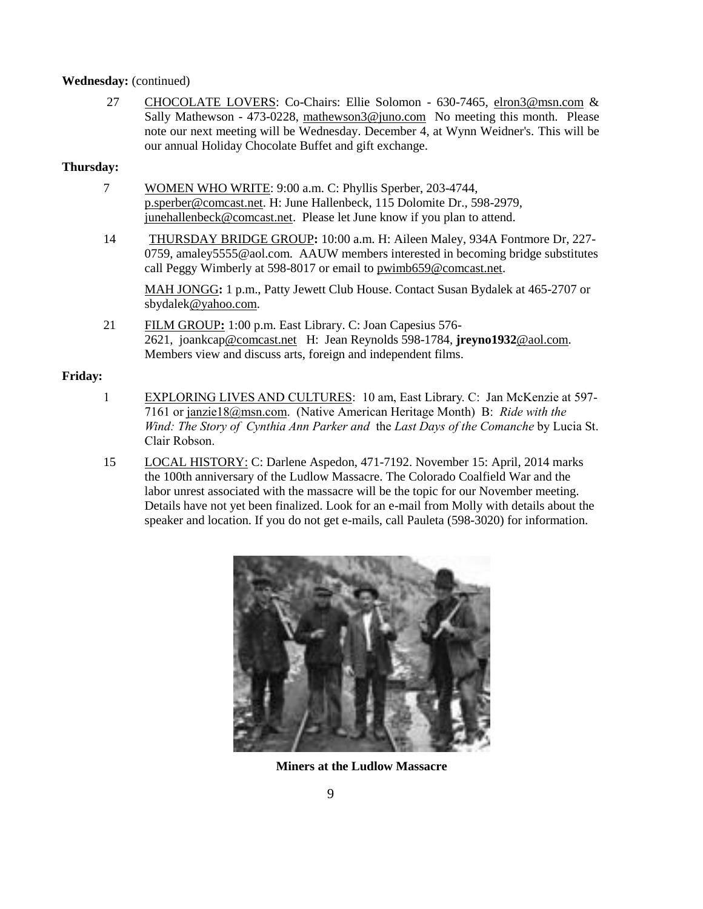#### **Wednesday:** (continued)

27 CHOCOLATE LOVERS: Co-Chairs: Ellie Solomon - 630-7465, [elron3@msn.com](mailto:elron3@msn.com) & Sally Mathewson - 473-0228, [mathewson3@juno.com](mailto:mathewson3@juno.com) No meeting this month. Please note our next meeting will be Wednesday. December 4, at Wynn Weidner's. This will be our annual Holiday Chocolate Buffet and gift exchange.

#### **Thursday:**

- 7 WOMEN WHO WRITE: 9:00 a.m. C: Phyllis Sperber, 203-4744, [p.sperber@comcast.net.](mailto:p.sperber@comcast.net) H: June Hallenbeck, 115 Dolomite Dr., 598-2979, [junehallenbeck@comcast.net.](mailto:junehallenbeck@comcast.net) Please let June know if you plan to attend.
- 14 THURSDAY BRIDGE GROUP**:** 10:00 a.m. H: Aileen Maley, 934A Fontmore Dr, 227- 0759, amaley5555@aol.com. AAUW members interested in becoming bridge substitutes call Peggy Wimberly at 598-8017 or email to [pwimb659@comcast.net.](mailto:pwimb659@comcast.net)

MAH JONGG**:** 1 p.m., Patty Jewett Club House. Contact Susan Bydalek at 465-2707 or [sbydalek@yahoo.com.](mailto:sbydalek@yahoo.com)

21 FILM GROUP**:** 1:00 p.m. East Library. C: Joan Capesius 576- 2621, [joankcap@comcast.net](mailto:joankcap@comcast.net) H: Jean Reynolds 598-1784, **[jreyno1932](mailto:jreyno1932@aol.com)**@aol.com. Members view and discuss arts, foreign and independent films.

#### **Friday:**

- 1 EXPLORING LIVES AND CULTURES: 10 am, East Library. C: Jan McKenzie at 597- 7161 o[r janzie18@msn.com.](mailto:janzie18@msn.com) (Native American Heritage Month) B: *Ride with the Wind: The Story of Cynthia Ann Parker and* the *Last Days of the Comanche* by Lucia St. Clair Robson.
- 15 LOCAL HISTORY: C: Darlene Aspedon, 471-7192. November 15: April, 2014 marks the 100th anniversary of the Ludlow Massacre. The Colorado Coalfield War and the labor unrest associated with the massacre will be the topic for our November meeting. Details have not yet been finalized. Look for an e-mail from Molly with details about the speaker and location. If you do not get e-mails, call Pauleta (598-3020) for information.



**Miners at the Ludlow Massacre**